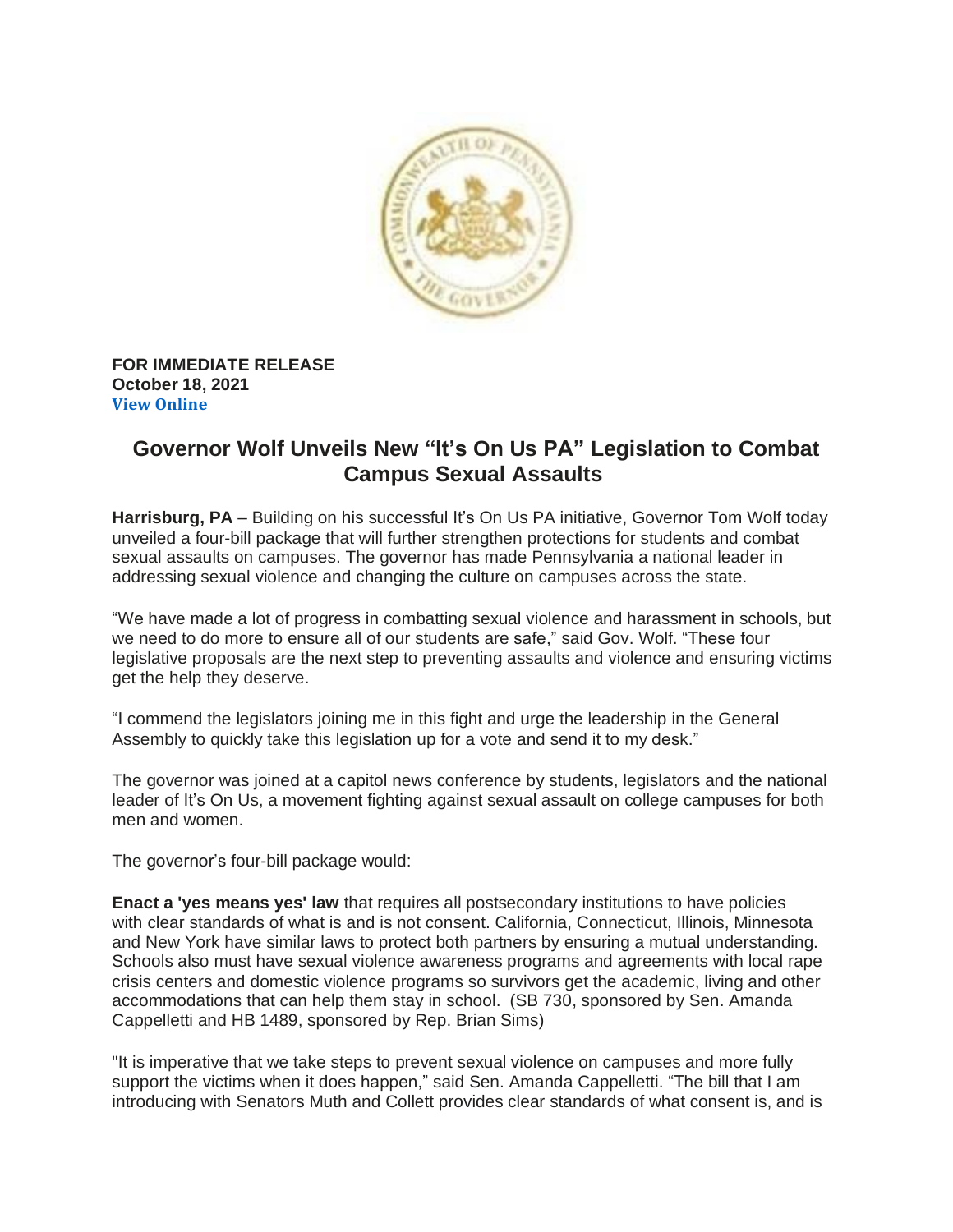

## **FOR IMMEDIATE RELEASE October 18, 2021 View [Online](https://www.governor.pa.gov/newsroom/governor-wolf-unveils-new-its-on-us-pa-legislation-to-combat-campus-sexual-assaults/)**

## **Governor Wolf Unveils New "It's On Us PA" Legislation to Combat Campus Sexual Assaults**

**Harrisburg, PA** – Building on his successful It's On Us PA initiative, Governor Tom Wolf today unveiled a four-bill package that will further strengthen protections for students and combat sexual assaults on campuses. The governor has made Pennsylvania a national leader in addressing sexual violence and changing the culture on campuses across the state.

"We have made a lot of progress in combatting sexual violence and harassment in schools, but we need to do more to ensure all of our students are safe," said Gov. Wolf. "These four legislative proposals are the next step to preventing assaults and violence and ensuring victims get the help they deserve.

"I commend the legislators joining me in this fight and urge the leadership in the General Assembly to quickly take this legislation up for a vote and send it to my desk."

The governor was joined at a capitol news conference by students, legislators and the national leader of It's On Us, a movement fighting against sexual assault on college campuses for both men and women.

The governor's four-bill package would:

**Enact a 'yes means yes' law** that requires all postsecondary institutions to have policies with clear standards of what is and is not consent. California, Connecticut, Illinois, Minnesota and New York have similar laws to protect both partners by ensuring a mutual understanding. Schools also must have sexual violence awareness programs and agreements with local rape crisis centers and domestic violence programs so survivors get the academic, living and other accommodations that can help them stay in school. (SB 730, sponsored by Sen. Amanda Cappelletti and HB 1489, sponsored by Rep. Brian Sims)

"It is imperative that we take steps to prevent sexual violence on campuses and more fully support the victims when it does happen," said Sen. Amanda Cappelletti. "The bill that I am introducing with Senators Muth and Collett provides clear standards of what consent is, and is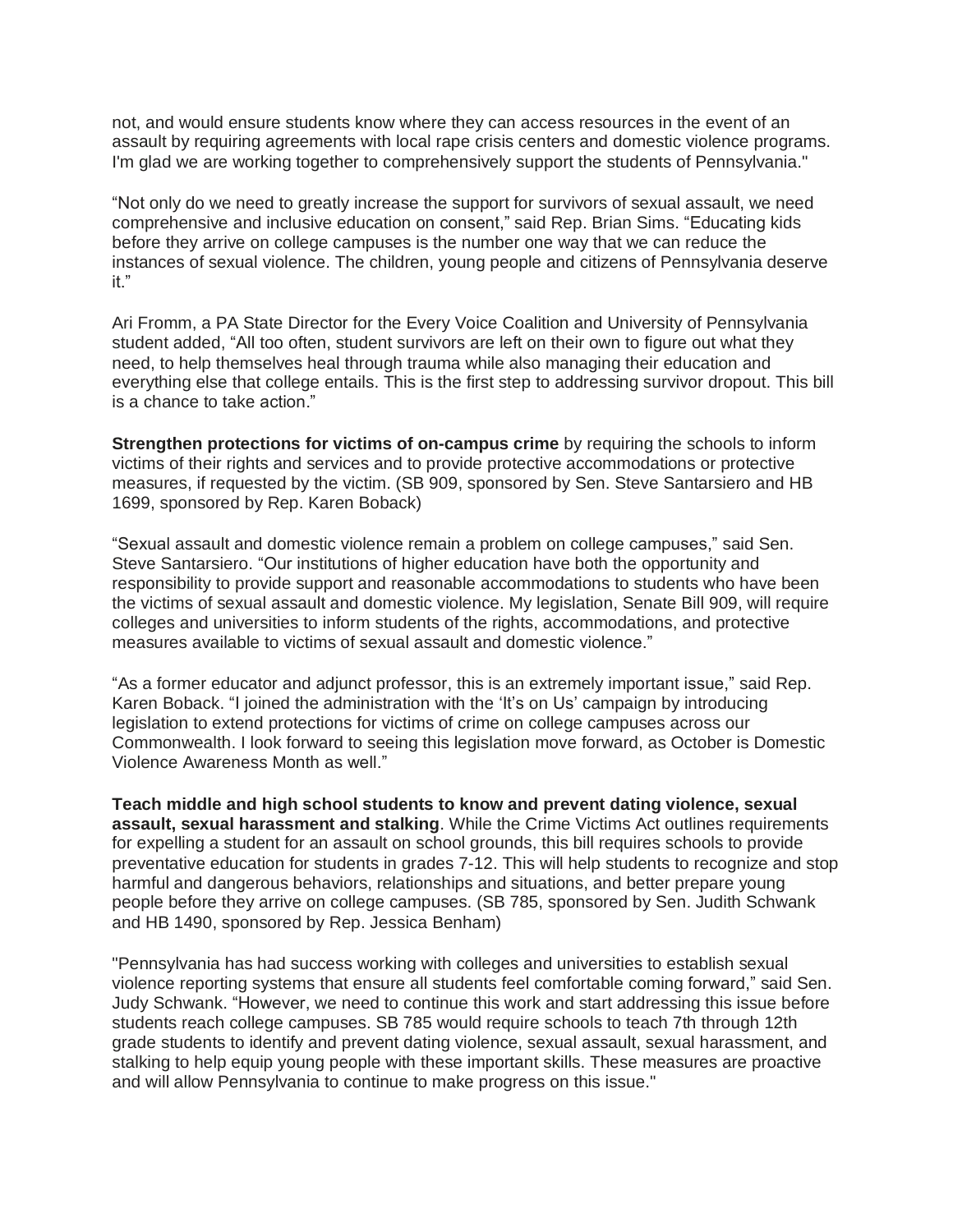not, and would ensure students know where they can access resources in the event of an assault by requiring agreements with local rape crisis centers and domestic violence programs. I'm glad we are working together to comprehensively support the students of Pennsylvania."

"Not only do we need to greatly increase the support for survivors of sexual assault, we need comprehensive and inclusive education on consent," said Rep. Brian Sims. "Educating kids before they arrive on college campuses is the number one way that we can reduce the instances of sexual violence. The children, young people and citizens of Pennsylvania deserve it."

Ari Fromm, a PA State Director for the Every Voice Coalition and University of Pennsylvania student added, "All too often, student survivors are left on their own to figure out what they need, to help themselves heal through trauma while also managing their education and everything else that college entails. This is the first step to addressing survivor dropout. This bill is a chance to take action."

**Strengthen protections for victims of on-campus crime** by requiring the schools to inform victims of their rights and services and to provide protective accommodations or protective measures, if requested by the victim. (SB 909, sponsored by Sen. Steve Santarsiero and HB 1699, sponsored by Rep. Karen Boback)

"Sexual assault and domestic violence remain a problem on college campuses," said Sen. Steve Santarsiero. "Our institutions of higher education have both the opportunity and responsibility to provide support and reasonable accommodations to students who have been the victims of sexual assault and domestic violence. My legislation, Senate Bill 909, will require colleges and universities to inform students of the rights, accommodations, and protective measures available to victims of sexual assault and domestic violence."

"As a former educator and adjunct professor, this is an extremely important issue," said Rep. Karen Boback. "I joined the administration with the 'It's on Us' campaign by introducing legislation to extend protections for victims of crime on college campuses across our Commonwealth. I look forward to seeing this legislation move forward, as October is Domestic Violence Awareness Month as well."

**Teach middle and high school students to know and prevent dating violence, sexual assault, sexual harassment and stalking**. While the Crime Victims Act outlines requirements for expelling a student for an assault on school grounds, this bill requires schools to provide preventative education for students in grades 7-12. This will help students to recognize and stop harmful and dangerous behaviors, relationships and situations, and better prepare young people before they arrive on college campuses. (SB 785, sponsored by Sen. Judith Schwank and HB 1490, sponsored by Rep. Jessica Benham)

"Pennsylvania has had success working with colleges and universities to establish sexual violence reporting systems that ensure all students feel comfortable coming forward," said Sen. Judy Schwank. "However, we need to continue this work and start addressing this issue before students reach college campuses. SB 785 would require schools to teach 7th through 12th grade students to identify and prevent dating violence, sexual assault, sexual harassment, and stalking to help equip young people with these important skills. These measures are proactive and will allow Pennsylvania to continue to make progress on this issue."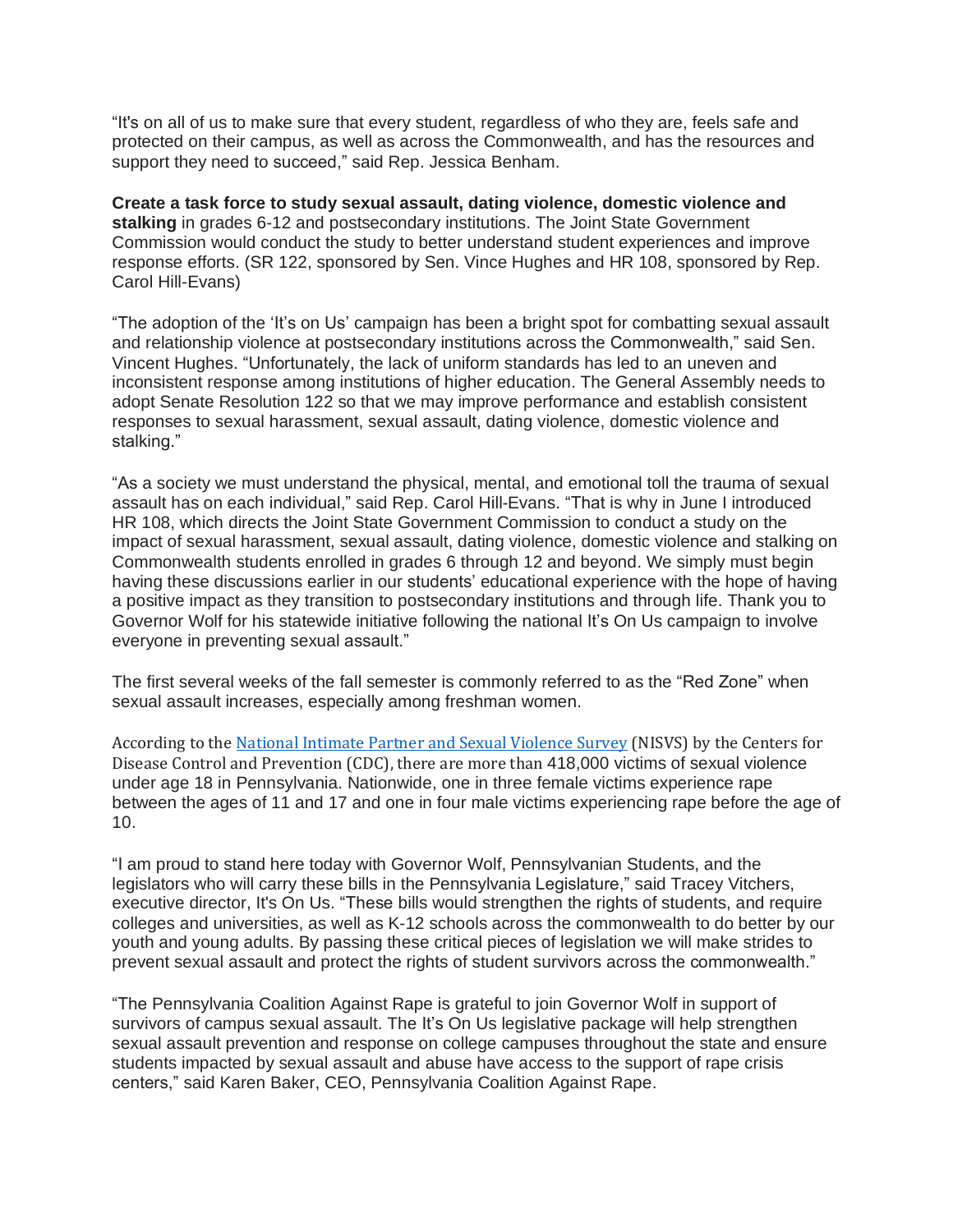"It's on all of us to make sure that every student, regardless of who they are, feels safe and protected on their campus, as well as across the Commonwealth, and has the resources and support they need to succeed," said Rep. Jessica Benham.

**Create a task force to study sexual assault, dating violence, domestic violence and stalking** in grades 6-12 and postsecondary institutions. The Joint State Government Commission would conduct the study to better understand student experiences and improve response efforts. (SR 122, sponsored by Sen. Vince Hughes and HR 108, sponsored by Rep. Carol Hill-Evans)

"The adoption of the 'It's on Us' campaign has been a bright spot for combatting sexual assault and relationship violence at postsecondary institutions across the Commonwealth," said Sen. Vincent Hughes. "Unfortunately, the lack of uniform standards has led to an uneven and inconsistent response among institutions of higher education. The General Assembly needs to adopt Senate Resolution 122 so that we may improve performance and establish consistent responses to sexual harassment, sexual assault, dating violence, domestic violence and stalking."

"As a society we must understand the physical, mental, and emotional toll the trauma of sexual assault has on each individual," said Rep. Carol Hill-Evans. "That is why in June I introduced HR 108, which directs the Joint State Government Commission to conduct a study on the impact of sexual harassment, sexual assault, dating violence, domestic violence and stalking on Commonwealth students enrolled in grades 6 through 12 and beyond. We simply must begin having these discussions earlier in our students' educational experience with the hope of having a positive impact as they transition to postsecondary institutions and through life. Thank you to Governor Wolf for his statewide initiative following the national It's On Us campaign to involve everyone in preventing sexual assault."

The first several weeks of the fall semester is commonly referred to as the "Red Zone" when sexual assault increases, especially among freshman women.

According to the National Intimate Partner and Sexual [Violence](https://www.cdc.gov/violenceprevention/datasources/nisvs/index.html) Survey (NISVS) by the Centers for Disease Control and Prevention (CDC), there are more than 418,000 victims of sexual violence under age 18 in Pennsylvania. Nationwide, one in three female victims experience rape between the ages of 11 and 17 and one in four male victims experiencing rape before the age of 10.

"I am proud to stand here today with Governor Wolf, Pennsylvanian Students, and the legislators who will carry these bills in the Pennsylvania Legislature," said Tracey Vitchers, executive director, It's On Us. "These bills would strengthen the rights of students, and require colleges and universities, as well as K-12 schools across the commonwealth to do better by our youth and young adults. By passing these critical pieces of legislation we will make strides to prevent sexual assault and protect the rights of student survivors across the commonwealth."

"The Pennsylvania Coalition Against Rape is grateful to join Governor Wolf in support of survivors of campus sexual assault. The It's On Us legislative package will help strengthen sexual assault prevention and response on college campuses throughout the state and ensure students impacted by sexual assault and abuse have access to the support of rape crisis centers," said Karen Baker, CEO, Pennsylvania Coalition Against Rape.